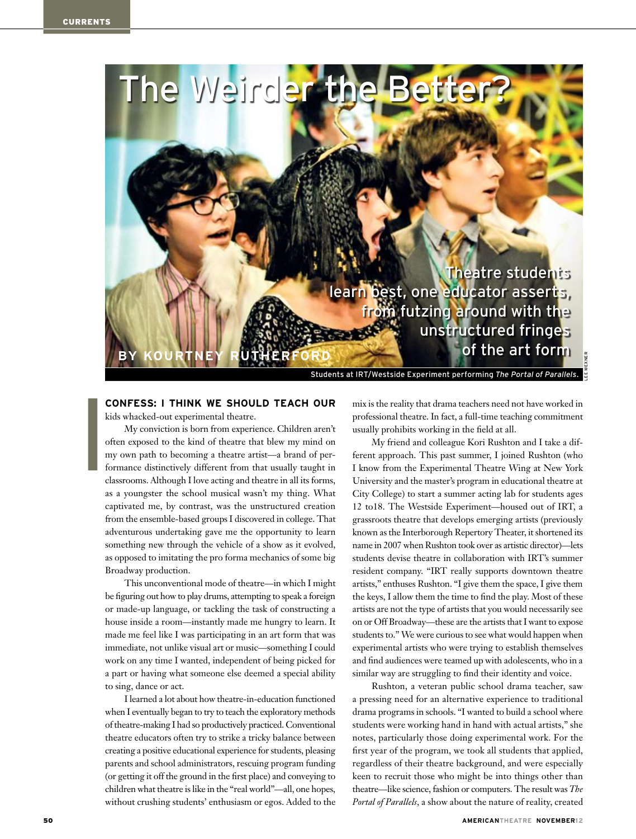

## **CONFESS: I THINK WE SHOULD TEACH OUR**

kids whacked-out experimental theatre.

My conviction is born from experience. Children aren't often exposed to the kind of theatre that blew my mind on my own path to becoming a theatre artist—a brand of performance distinctively different from that usually taught in classrooms. Although I love acting and theatre in all its forms, as a youngster the school musical wasn't my thing. What captivated me, by contrast, was the unstructured creation from the ensemble-based groups I discovered in college. That adventurous undertaking gave me the opportunity to learn something new through the vehicle of a show as it evolved, as opposed to imitating the pro forma mechanics of some big Broadway production.

This unconventional mode of theatre—in which I might be figuring out how to play drums, attempting to speak a foreign or made-up language, or tackling the task of constructing a house inside a room—instantly made me hungry to learn. It made me feel like I was participating in an art form that was immediate, not unlike visual art or music—something I could work on any time I wanted, independent of being picked for a part or having what someone else deemed a special ability to sing, dance or act.

I learned a lot about how theatre-in-education functioned when I eventually began to try to teach the exploratory methods of theatre-making I had so productively practiced. Conventional theatre educators often try to strike a tricky balance between creating a positive educational experience for students, pleasing parents and school administrators, rescuing program funding (or getting it off the ground in the first place) and conveying to children what theatre is like in the "real world"—all, one hopes, without crushing students' enthusiasm or egos. Added to the

mix is the reality that drama teachers need not have worked in professional theatre. In fact, a full-time teaching commitment usually prohibits working in the field at all.

My friend and colleague Kori Rushton and I take a different approach. This past summer, I joined Rushton (who I know from the Experimental Theatre Wing at New York University and the master's program in educational theatre at City College) to start a summer acting lab for students ages 12 to18. The Westside Experiment—housed out of IRT, a grassroots theatre that develops emerging artists (previously known as the Interborough Repertory Theater, it shortened its name in 2007 when Rushton took over as artistic director)—lets students devise theatre in collaboration with IRT's summer resident company. "IRT really supports downtown theatre artists," enthuses Rushton. "I give them the space, I give them the keys, I allow them the time to find the play. Most of these artists are not the type of artists that you would necessarily see on or Off Broadway—these are the artists that I want to expose students to." We were curious to see what would happen when experimental artists who were trying to establish themselves and find audiences were teamed up with adolescents, who in a similar way are struggling to find their identity and voice.

Rushton, a veteran public school drama teacher, saw a pressing need for an alternative experience to traditional drama programs in schools. "I wanted to build a school where students were working hand in hand with actual artists," she notes, particularly those doing experimental work. For the first year of the program, we took all students that applied, regardless of their theatre background, and were especially keen to recruit those who might be into things other than theatre—like science, fashion or computers. The result was *The Portal of Parallels*, a show about the nature of reality, created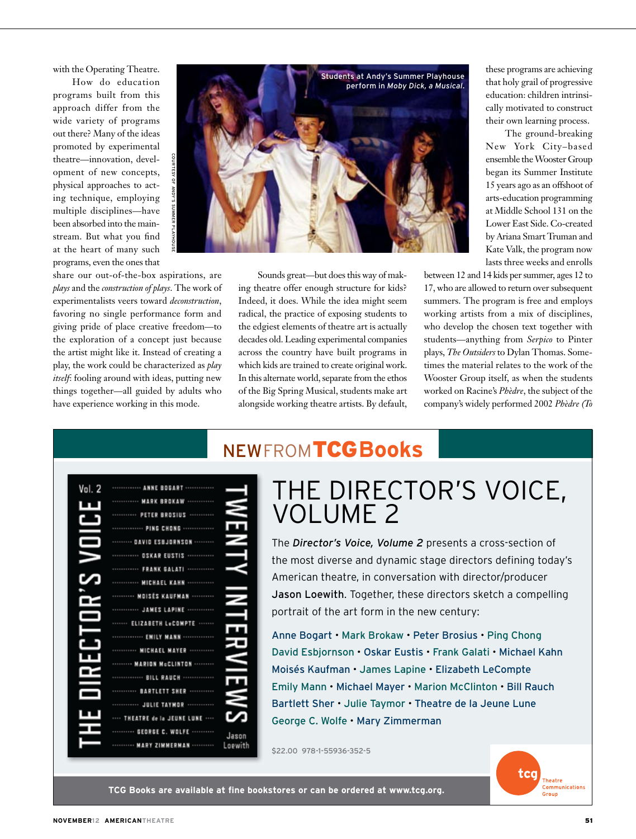with the Operating Theatre.

How do education programs built from this approach differ from the wide variety of programs out there? Many of the ideas promoted by experimental theatre—innovation, development of new concepts, physical approaches to acting technique, employing multiple disciplines—have been absorbed into the mainstream. But what you find at the heart of many such programs, even the ones that



share our out-of-the-box aspirations, are *plays* and the *construction of plays*. The work of experimentalists veers toward *deconstruction*, favoring no single performance form and giving pride of place creative freedom—to the exploration of a concept just because the artist might like it. Instead of creating a play, the work could be characterized as *play itself*: fooling around with ideas, putting new things together—all guided by adults who have experience working in this mode.

Sounds great—but does this way of making theatre offer enough structure for kids? Indeed, it does. While the idea might seem radical, the practice of exposing students to the edgiest elements of theatre art is actually decades old. Leading experimental companies across the country have built programs in which kids are trained to create original work. In this alternate world, separate from the ethos of the Big Spring Musical, students make art alongside working theatre artists. By default,

these programs are achieving that holy grail of progressive education: children intrinsically motivated to construct their own learning process.

The ground-breaking New York City–based ensemble the Wooster Group began its Summer Institute 15 years ago as an offshoot of arts-education programming at Middle School 131 on the Lower East Side. Co-created by Ariana Smart Truman and Kate Valk, the program now lasts three weeks and enrolls

between 12 and 14 kids per summer, ages 12 to 17, who are allowed to return over subsequent summers. The program is free and employs working artists from a mix of disciplines, who develop the chosen text together with students—anything from *Serpico* to Pinter plays, *The Outsiders* to Dylan Thomas. Sometimes the material relates to the work of the Wooster Group itself, as when the students worked on Racine's *Phèdre*, the subject of the company's widely performed 2002 *Phèdre (To* 

| Vol. 2 | ANNE BOGAR              |                  |
|--------|-------------------------|------------------|
|        | <b>MARK BROKAW</b>      |                  |
|        | PETER BROSIUS           |                  |
|        | PING CHONG              |                  |
|        | <b>DAVID ESBJORNSO</b>  |                  |
|        | OSKAR EUSTIS            |                  |
|        | <b>FRANK GALATI</b>     |                  |
|        | <b>MICHAEL KANN</b>     |                  |
|        | <b>MOISES KAUFMAN</b>   |                  |
|        | <b>JAMES LAPINE</b>     |                  |
|        | ELIZABETH LOCOMPTE      |                  |
|        | <b>EMILY MANN</b>       |                  |
|        | <b>MICHAEL MAYE</b>     |                  |
|        | <b>MARION McCLINTON</b> |                  |
|        | <b>BILL RAUCH</b>       |                  |
|        | <b>BARTLETT SHER</b>    |                  |
|        | <b>JULIE TAYMOR</b>     |                  |
|        | <b>ATRE de la JEUNE</b> |                  |
|        | GEORGE C. WOLFE         |                  |
|        | MARY ZIMMERMAN          | Jason<br>Loewith |

## **NEWFROMTCGBooks**

## THE DIRECTOR'S VOICE. **VOLUME 2**

The Director's Voice, Volume 2 presents a cross-section of the most diverse and dynamic stage directors defining today's American theatre, in conversation with director/producer Jason Loewith. Together, these directors sketch a compelling portrait of the art form in the new century:

Anne Bogart • Mark Brokaw • Peter Brosius • Ping Chong David Esbjornson · Oskar Eustis · Frank Galati · Michael Kahn Moisés Kaufman · James Lapine · Elizabeth LeCompte Emily Mann • Michael Mayer • Marion McClinton • Bill Rauch Bartlett Sher . Julie Taymor . Theatre de la Jeune Lune George C. Wolfe . Mary Zimmerman

\$22.00 978-1-55936-352-5